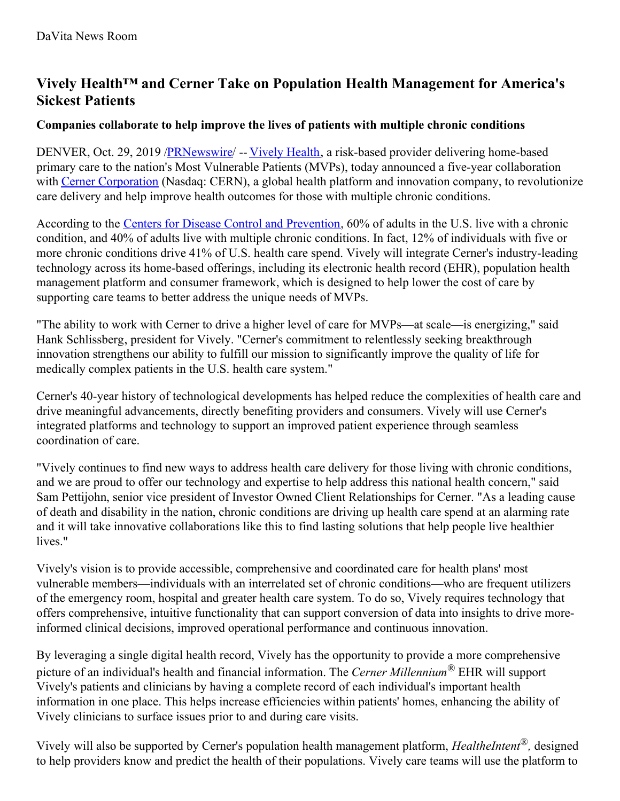# **Vively Health™ and Cerner Take on Population Health Management for America's Sickest Patients**

## **Companies collaborate to help improve the lives of patients with multiple chronic conditions**

DENVER, Oct. 29, 2019 [/PRNewswire](http://www.prnewswire.com/)/ -- [Vively](https://c212.net/c/link/?t=0&l=en&o=2621724-1&h=3371335465&u=https%3A%2F%2Fwww.vivelyhealth.com%2F%3Futm_source%3Dweb%26utm_medium%3Dpressrelease%26utm_campaign%3Dcernerannouncement&a=Vively+Health) Health, a risk-based provider delivering home-based primary care to the nation's Most Vulnerable Patients (MVPs), today announced a five-year collaboration with Cerner [Corporation](https://c212.net/c/link/?t=0&l=en&o=2621724-1&h=1879772029&u=https%3A%2F%2Fwww.cerner.com%2F&a=Cerner+Corporation) (Nasdaq: CERN), a global health platform and innovation company, to revolutionize care delivery and help improve health outcomes for those with multiple chronic conditions.

According to the Centers for Disease Control and [Prevention](https://c212.net/c/link/?t=0&l=en&o=2621724-1&h=1080431524&u=https%3A%2F%2Fwww.cdc.gov%2Fchronicdisease%2Fresources%2Finfographic%2Fchronic-diseases.htm&a=Centers+for+Disease+Control+and+Prevention), 60% of adults in the U.S. live with a chronic condition, and 40% of adults live with multiple chronic conditions. In fact, 12% of individuals with five or more chronic conditions drive 41% of U.S. health care spend. Vively will integrate Cerner's industry-leading technology across its home-based offerings, including its electronic health record (EHR), population health management platform and consumer framework, which is designed to help lower the cost of care by supporting care teams to better address the unique needs of MVPs.

"The ability to work with Cerner to drive a higher level of care for MVPs—at scale—is energizing," said Hank Schlissberg, president for Vively. "Cerner's commitment to relentlessly seeking breakthrough innovation strengthens our ability to fulfill our mission to significantly improve the quality of life for medically complex patients in the U.S. health care system."

Cerner's 40-year history of technological developments has helped reduce the complexities of health care and drive meaningful advancements, directly benefiting providers and consumers. Vively will use Cerner's integrated platforms and technology to support an improved patient experience through seamless coordination of care.

"Vively continues to find new ways to address health care delivery for those living with chronic conditions, and we are proud to offer our technology and expertise to help address this national health concern," said Sam Pettijohn, senior vice president of Investor Owned Client Relationships for Cerner. "As a leading cause of death and disability in the nation, chronic conditions are driving up health care spend at an alarming rate and it will take innovative collaborations like this to find lasting solutions that help people live healthier lives."

Vively's vision is to provide accessible, comprehensive and coordinated care for health plans' most vulnerable members—individuals with an interrelated set of chronic conditions—who are frequent utilizers of the emergency room, hospital and greater health care system. To do so, Vively requires technology that offers comprehensive, intuitive functionality that can support conversion of data into insights to drive moreinformed clinical decisions, improved operational performance and continuous innovation.

By leveraging a single digital health record, Vively has the opportunity to provide a more comprehensive picture of an individual's health and financial information. The *Cerner Millennium ®* EHR will support Vively's patients and clinicians by having a complete record of each individual's important health information in one place. This helps increase efficiencies within patients' homes, enhancing the ability of Vively clinicians to surface issues prior to and during care visits.

Vively will also be supported by Cerner's population health management platform, *HealtheIntent*®*,* designed to help providers know and predict the health of their populations. Vively care teams will use the platform to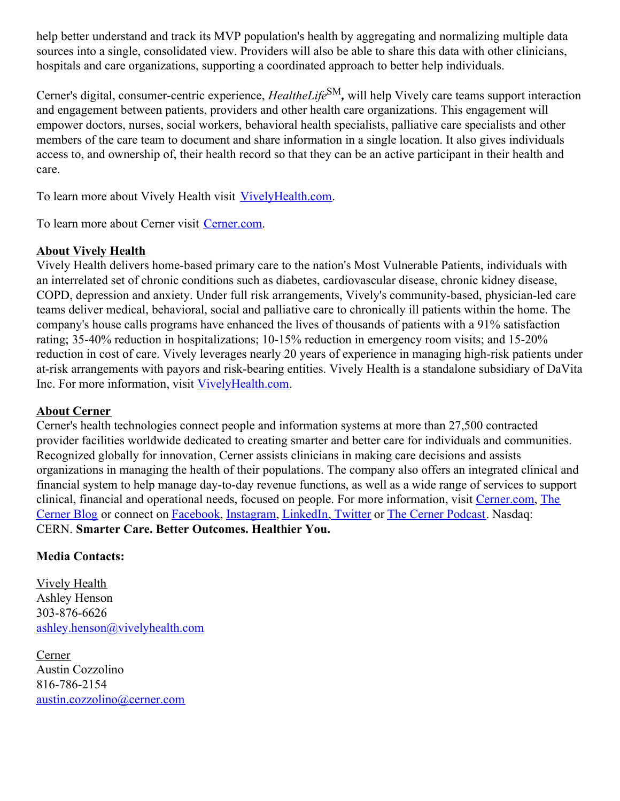help better understand and track its MVP population's health by aggregating and normalizing multiple data sources into a single, consolidated view. Providers will also be able to share this data with other clinicians, hospitals and care organizations, supporting a coordinated approach to better help individuals.

Cerner's digital, consumer-centric experience, *HealtheLife* SM*,* will help Vively care teams support interaction and engagement between patients, providers and other health care organizations. This engagement will empower doctors, nurses, social workers, behavioral health specialists, palliative care specialists and other members of the care team to document and share information in a single location. It also gives individuals access to, and ownership of, their health record so that they can be an active participant in their health and care.

To learn more about Vively Health visit [VivelyHealth.com](https://c212.net/c/link/?t=0&l=en&o=2621724-1&h=3423457180&u=http%3A%2F%2Fvivelyhealth.com%2F&a=VivelyHealth.com).

To learn more about Cerner visit [Cerner.com.](https://c212.net/c/link/?t=0&l=en&o=2621724-1&h=1598383413&u=http%3A%2F%2Fwww.cerner.com%2F&a=Cerner.com)

### **About Vively Health**

Vively Health delivers home-based primary care to the nation's Most Vulnerable Patients, individuals with an interrelated set of chronic conditions such as diabetes, cardiovascular disease, chronic kidney disease, COPD, depression and anxiety. Under full risk arrangements, Vively's community-based, physician-led care teams deliver medical, behavioral, social and palliative care to chronically ill patients within the home. The company's house calls programs have enhanced the lives of thousands of patients with a 91% satisfaction rating; 35-40% reduction in hospitalizations; 10-15% reduction in emergency room visits; and 15-20% reduction in cost of care. Vively leverages nearly 20 years of experience in managing high-risk patients under at-risk arrangements with payors and risk-bearing entities. Vively Health is a standalone subsidiary of DaVita Inc. For more information, visit [VivelyHealth.com](https://c212.net/c/link/?t=0&l=en&o=2621724-1&h=3423457180&u=http%3A%2F%2Fvivelyhealth.com%2F&a=VivelyHealth.com).

#### **About Cerner**

Cerner's health technologies connect people and information systems at more than 27,500 contracted provider facilities worldwide dedicated to creating smarter and better care for individuals and communities. Recognized globally for innovation, Cerner assists clinicians in making care decisions and assists organizations in managing the health of their populations. The company also offers an integrated clinical and financial system to help manage day-to-day revenue functions, as well as a wide range of services to support clinical, financial and operational needs, focused on people. For more [information,](https://c212.net/c/link/?t=0&l=en&o=2621724-1&h=752426644&u=https%3A%2F%2Fwww.cerner.com%2Fblog&a=The+Cerner+Blog) visit [Cerner.com,](https://c212.net/c/link/?t=0&l=en&o=2621724-1&h=3953594032&u=https%3A%2F%2Fwww.cerner.com%2F&a=Cerner.com) The Cerner Blog or connect on [Facebook](https://c212.net/c/link/?t=0&l=en&o=2621724-1&h=2678570393&u=https%3A%2F%2Fwww.facebook.com%2FCerner%2F&a=Facebook), [Instagram](https://c212.net/c/link/?t=0&l=en&o=2621724-1&h=3088954776&u=https%3A%2F%2Fwww.instagram.com%2Fcernercorporation%2F&a=Instagram), [LinkedIn](https://c212.net/c/link/?t=0&l=en&o=2621724-1&h=3937295852&u=https%3A%2F%2Fwww.linkedin.com%2Fcompany%2Fcerner-corporation%2F&a=LinkedIn), [Twitter](https://c212.net/c/link/?t=0&l=en&o=2621724-1&h=2877564343&u=https%3A%2F%2Ftwitter.com%2FCerner&a=%C2%A0Twitter) or The Cerner [Podcast](https://c212.net/c/link/?t=0&l=en&o=2621724-1&h=2618368782&u=https%3A%2F%2Fwww.cerner.com%2Fpodcast&a=The+Cerner+Podcast). Nasdaq: CERN. **Smarter Care. Better Outcomes. Healthier You.**

### **Media Contacts:**

Vively Health Ashley Henson 303-876-6626 [ashley.henson@vivelyhealth.com](mailto:ashley.henson@vivelyhealth.com)

Cerner Austin Cozzolino 816-786-2154 [austin.cozzolino@cerner.com](mailto:austin.cozzolino@cerner.com)